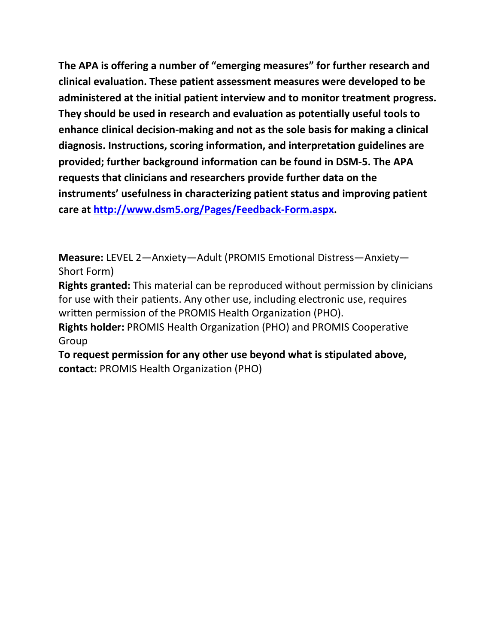**The APA is offering a number of "emerging measures" for further research and clinical evaluation. These patient assessment measures were developed to be administered at the initial patient interview and to monitor treatment progress. They should be used in research and evaluation as potentially useful tools to enhance clinical decision-making and not as the sole basis for making a clinical diagnosis. Instructions, scoring information, and interpretation guidelines are provided; further background information can be found in DSM-5. The APA requests that clinicians and researchers provide further data on the instruments' usefulness in characterizing patient status and improving patient care at [http://www.dsm5.org/Pages/Feedback-Form.aspx.](http://www.dsm5.org/Pages/Feedback-Form.aspx)**

**Measure:** LEVEL 2—Anxiety—Adult (PROMIS Emotional Distress—Anxiety— Short Form)

**Rights granted:** This material can be reproduced without permission by clinicians for use with their patients. Any other use, including electronic use, requires written permission of the PROMIS Health Organization (PHO).

**Rights holder:** PROMIS Health Organization (PHO) and PROMIS Cooperative Group

**To request permission for any other use beyond what is stipulated above, contact:** PROMIS Health Organization (PHO)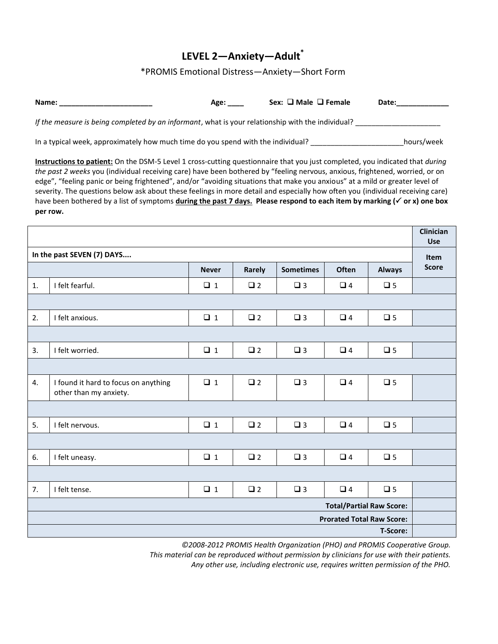## **LEVEL 2—Anxiety—Adult\***

\*PROMIS Emotional Distress—Anxiety—Short Form

| Name:                                                                                             | Age: | Sex: $\Box$ Male $\Box$ Female | Date:      |
|---------------------------------------------------------------------------------------------------|------|--------------------------------|------------|
| If the measure is being completed by an informant, what is your relationship with the individual? |      |                                |            |
| In a typical week, approximately how much time do you spend with the individual?                  |      |                                | hours/week |

**Instructions to patient:** On the DSM-5 Level 1 cross-cutting questionnaire that you just completed, you indicated that *during the past 2 weeks* you (individual receiving care) have been bothered by "feeling nervous, anxious, frightened, worried, or on edge", "feeling panic or being frightened", and/or "avoiding situations that make you anxious" at a mild or greater level of severity. The questions below ask about these feelings in more detail and especially how often you (individual receiving care) have been bothered by a list of symptoms during the past 7 days. Please respond to each item by marking ( $\checkmark$  or x) one box **per row.** 

|    |                                                                |              |             |                  |                                  |               | Clinician<br>Use |
|----|----------------------------------------------------------------|--------------|-------------|------------------|----------------------------------|---------------|------------------|
|    | In the past SEVEN (7) DAYS                                     |              |             |                  |                                  |               | <b>Item</b>      |
|    |                                                                | <b>Never</b> | Rarely      | <b>Sometimes</b> | Often                            | <b>Always</b> | <b>Score</b>     |
| 1. | I felt fearful.                                                | $\Box$ 1     | $\square$ 2 | $\square$ 3      | $\Box$ 4                         | $\square$ 5   |                  |
|    |                                                                |              |             |                  |                                  |               |                  |
| 2. | I felt anxious.                                                | $\Box$ 1     | $\square$ 2 | $\square$ 3      | $\Box$ 4                         | $\square$ 5   |                  |
|    |                                                                |              |             |                  |                                  |               |                  |
| 3. | I felt worried.                                                | $\Box$ 1     | $\square$ 2 | $\square$ 3      | $\Box$ 4                         | $\square$ 5   |                  |
|    |                                                                |              |             |                  |                                  |               |                  |
| 4. | I found it hard to focus on anything<br>other than my anxiety. | $\Box$ 1     | $\Box$ 2    | $\square$ 3      | $\Box$ 4                         | $\square$ 5   |                  |
|    |                                                                |              |             |                  |                                  |               |                  |
| 5. | I felt nervous.                                                | $\Box$ 1     | $\square$ 2 | $\square$ 3      | $\Box$ 4                         | $\square$ 5   |                  |
|    |                                                                |              |             |                  |                                  |               |                  |
| 6. | I felt uneasy.                                                 | $\Box$ 1     | $\square$ 2 | $\square$ 3      | $\Box$ 4                         | $\square$ 5   |                  |
|    |                                                                |              |             |                  |                                  |               |                  |
| 7. | I felt tense.                                                  | $\Box$ 1     | $\square$ 2 | $\square$ 3      | $\Box$ 4                         | $\square$ 5   |                  |
|    |                                                                |              |             |                  | <b>Total/Partial Raw Score:</b>  |               |                  |
|    |                                                                |              |             |                  | <b>Prorated Total Raw Score:</b> |               |                  |
|    |                                                                |              |             |                  |                                  | T-Score:      |                  |

*©2008-2012 PROMIS Health Organization (PHO) and PROMIS Cooperative Group.* 

*This material can be reproduced without permission by clinicians for use with their patients.*

*Any other use, including electronic use, requires written permission of the PHO.*